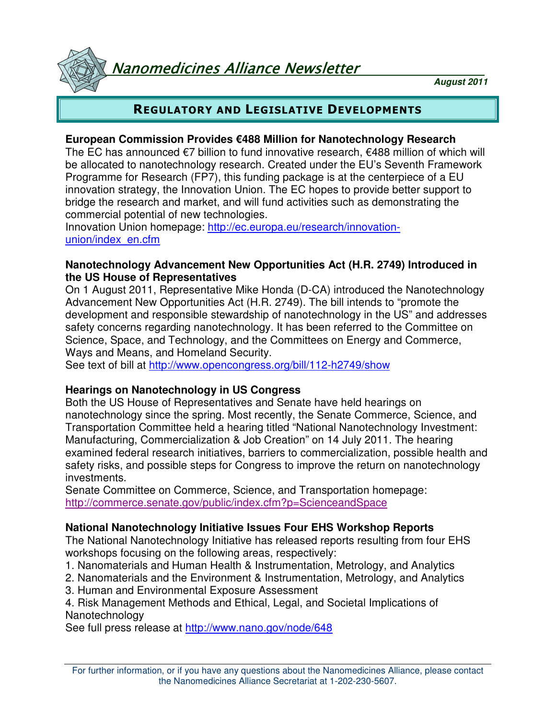Nanomedicines Alliance Newsletter

**August 2011**

# REGULATORY AND LEGISLATIVE DEVELOPMENTS

#### **European Commission Provides €488 Million for Nanotechnology Research**

The EC has announced €7 billion to fund innovative research, €488 million of which will be allocated to nanotechnology research. Created under the EU's Seventh Framework Programme for Research (FP7), this funding package is at the centerpiece of a EU innovation strategy, the Innovation Union. The EC hopes to provide better support to bridge the research and market, and will fund activities such as demonstrating the commercial potential of new technologies.

Innovation Union homepage: http://ec.europa.eu/research/innovationunion/index\_en.cfm

#### **Nanotechnology Advancement New Opportunities Act (H.R. 2749) Introduced in the US House of Representatives**

On 1 August 2011, Representative Mike Honda (D-CA) introduced the Nanotechnology Advancement New Opportunities Act (H.R. 2749). The bill intends to "promote the development and responsible stewardship of nanotechnology in the US" and addresses safety concerns regarding nanotechnology. It has been referred to the Committee on Science, Space, and Technology, and the Committees on Energy and Commerce, Ways and Means, and Homeland Security.

See text of bill at http://www.opencongress.org/bill/112-h2749/show

### **Hearings on Nanotechnology in US Congress**

Both the US House of Representatives and Senate have held hearings on nanotechnology since the spring. Most recently, the Senate Commerce, Science, and Transportation Committee held a hearing titled "National Nanotechnology Investment: Manufacturing, Commercialization & Job Creation" on 14 July 2011. The hearing examined federal research initiatives, barriers to commercialization, possible health and safety risks, and possible steps for Congress to improve the return on nanotechnology investments.

Senate Committee on Commerce, Science, and Transportation homepage: http://commerce.senate.gov/public/index.cfm?p=ScienceandSpace

### **National Nanotechnology Initiative Issues Four EHS Workshop Reports**

The National Nanotechnology Initiative has released reports resulting from four EHS workshops focusing on the following areas, respectively:

- 1. Nanomaterials and Human Health & Instrumentation, Metrology, and Analytics
- 2. Nanomaterials and the Environment & Instrumentation, Metrology, and Analytics
- 3. Human and Environmental Exposure Assessment

4. Risk Management Methods and Ethical, Legal, and Societal Implications of Nanotechnology

See full press release at http://www.nano.gov/node/648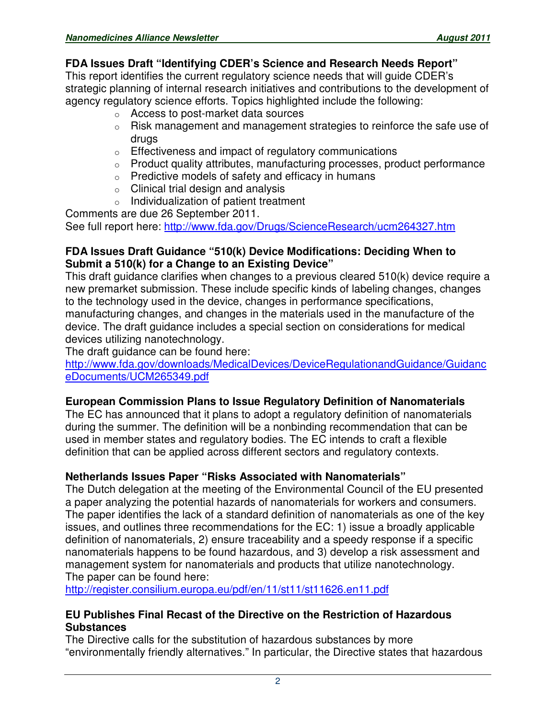### **FDA Issues Draft "Identifying CDER's Science and Research Needs Report"**

This report identifies the current regulatory science needs that will guide CDER's strategic planning of internal research initiatives and contributions to the development of agency regulatory science efforts. Topics highlighted include the following:

- <sup>o</sup> Access to post-market data sources
- o Risk management and management strategies to reinforce the safe use of drugs
- <sup>o</sup> Effectiveness and impact of regulatory communications
- $\circ$  Product quality attributes, manufacturing processes, product performance
- <sup>o</sup> Predictive models of safety and efficacy in humans
- $\circ$  Clinical trial design and analysis
- o Individualization of patient treatment

Comments are due 26 September 2011.

See full report here: http://www.fda.gov/Drugs/ScienceResearch/ucm264327.htm

#### **FDA Issues Draft Guidance "510(k) Device Modifications: Deciding When to Submit a 510(k) for a Change to an Existing Device"**

This draft guidance clarifies when changes to a previous cleared 510(k) device require a new premarket submission. These include specific kinds of labeling changes, changes to the technology used in the device, changes in performance specifications, manufacturing changes, and changes in the materials used in the manufacture of the device. The draft guidance includes a special section on considerations for medical devices utilizing nanotechnology.

The draft guidance can be found here:

http://www.fda.gov/downloads/MedicalDevices/DeviceRegulationandGuidance/Guidanc eDocuments/UCM265349.pdf

### **European Commission Plans to Issue Regulatory Definition of Nanomaterials**

The EC has announced that it plans to adopt a regulatory definition of nanomaterials during the summer. The definition will be a nonbinding recommendation that can be used in member states and regulatory bodies. The EC intends to craft a flexible definition that can be applied across different sectors and regulatory contexts.

### **Netherlands Issues Paper "Risks Associated with Nanomaterials"**

The Dutch delegation at the meeting of the Environmental Council of the EU presented a paper analyzing the potential hazards of nanomaterials for workers and consumers. The paper identifies the lack of a standard definition of nanomaterials as one of the key issues, and outlines three recommendations for the EC: 1) issue a broadly applicable definition of nanomaterials, 2) ensure traceability and a speedy response if a specific nanomaterials happens to be found hazardous, and 3) develop a risk assessment and management system for nanomaterials and products that utilize nanotechnology. The paper can be found here:

http://register.consilium.europa.eu/pdf/en/11/st11/st11626.en11.pdf

#### **EU Publishes Final Recast of the Directive on the Restriction of Hazardous Substances**

The Directive calls for the substitution of hazardous substances by more "environmentally friendly alternatives." In particular, the Directive states that hazardous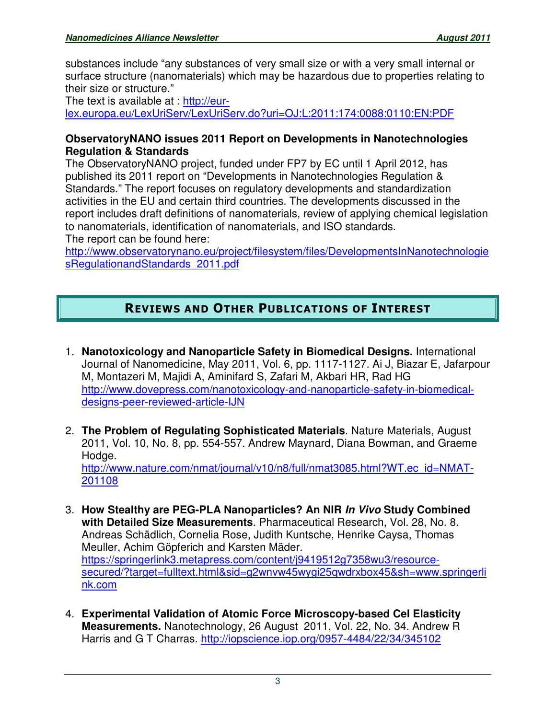substances include "any substances of very small size or with a very small internal or surface structure (nanomaterials) which may be hazardous due to properties relating to their size or structure."

The text is available at : http://eurlex.europa.eu/LexUriServ/LexUriServ.do?uri=OJ:L:2011:174:0088:0110:EN:PDF

#### **ObservatoryNANO issues 2011 Report on Developments in Nanotechnologies Regulation & Standards**

The ObservatoryNANO project, funded under FP7 by EC until 1 April 2012, has published its 2011 report on "Developments in Nanotechnologies Regulation & Standards." The report focuses on regulatory developments and standardization activities in the EU and certain third countries. The developments discussed in the report includes draft definitions of nanomaterials, review of applying chemical legislation to nanomaterials, identification of nanomaterials, and ISO standards. The report can be found here:

http://www.observatorynano.eu/project/filesystem/files/DevelopmentsInNanotechnologie sRegulationandStandards\_2011.pdf

# REVIEWS AND OTHER PUBLICATIONS OF INTEREST

- 1. **Nanotoxicology and Nanoparticle Safety in Biomedical Designs.** International Journal of Nanomedicine, May 2011, Vol. 6, pp. 1117-1127. Ai J, Biazar E, Jafarpour M, Montazeri M, Majidi A, Aminifard S, Zafari M, Akbari HR, Rad HG http://www.dovepress.com/nanotoxicology-and-nanoparticle-safety-in-biomedicaldesigns-peer-reviewed-article-IJN
- 2. **The Problem of Regulating Sophisticated Materials**. Nature Materials, August 2011, Vol. 10, No. 8, pp. 554-557. Andrew Maynard, Diana Bowman, and Graeme Hodge. http://www.nature.com/nmat/journal/v10/n8/full/nmat3085.html?WT.ec\_id=NMAT-201108
- 3. **How Stealthy are PEG-PLA Nanoparticles? An NIR In Vivo Study Combined with Detailed Size Measurements**. Pharmaceutical Research, Vol. 28, No. 8. Andreas Schädlich, Cornelia Rose, Judith Kuntsche, Henrike Caysa, Thomas Meuller, Achim Göpferich and Karsten Mäder. https://springerlink3.metapress.com/content/j9419512g7358wu3/resourcesecured/?target=fulltext.html&sid=g2wnvw45wygi25qwdrxbox45&sh=www.springerli nk.com
- 4. **Experimental Validation of Atomic Force Microscopy-based Cel Elasticity Measurements.** Nanotechnology, 26 August 2011, Vol. 22, No. 34. Andrew R Harris and G T Charras. http://iopscience.iop.org/0957-4484/22/34/345102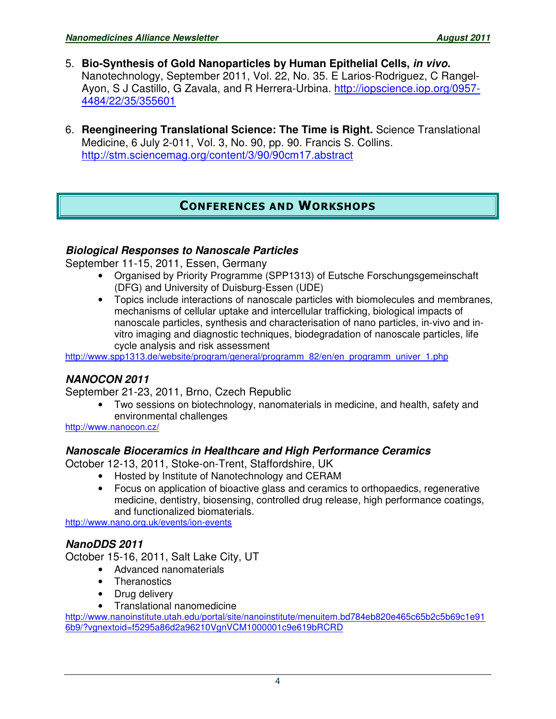- 5. **Bio-Synthesis of Gold Nanoparticles by Human Epithelial Cells, in vivo.** Nanotechnology, September 2011, Vol. 22, No. 35. E Larios-Rodriguez, C Rangel-Ayon, S J Castillo, G Zavala, and R Herrera-Urbina. http://iopscience.iop.org/0957- 4484/22/35/355601
- 6. **Reengineering Translational Science: The Time is Right.** Science Translational Medicine, 6 July 2-011, Vol. 3, No. 90, pp. 90. Francis S. Collins. http://stm.sciencemag.org/content/3/90/90cm17.abstract

# CONFERENCES AND WORKSHOPS

### **Biological Responses to Nanoscale Particles**

September 11-15, 2011, Essen, Germany

- Organised by Priority Programme (SPP1313) of Eutsche Forschungsgemeinschaft (DFG) and University of Duisburg-Essen (UDE)
- Topics include interactions of nanoscale particles with biomolecules and membranes, mechanisms of cellular uptake and intercellular trafficking, biological impacts of nanoscale particles, synthesis and characterisation of nano particles, in-vivo and invitro imaging and diagnostic techniques, biodegradation of nanoscale particles, life cycle analysis and risk assessment

http://www.spp1313.de/website/program/general/programm\_82/en/en\_programm\_univer\_1.php

### **NANOCON 2011**

September 21-23, 2011, Brno, Czech Republic

• Two sessions on biotechnology, nanomaterials in medicine, and health, safety and environmental challenges

http://www.nanocon.cz/

### **Nanoscale Bioceramics in Healthcare and High Performance Ceramics**

October 12-13, 2011, Stoke-on-Trent, Staffordshire, UK

- Hosted by Institute of Nanotechnology and CERAM
- Focus on application of bioactive glass and ceramics to orthopaedics, regenerative medicine, dentistry, biosensing, controlled drug release, high performance coatings, and functionalized biomaterials.

http://www.nano.org.uk/events/ion-events

### **NanoDDS 2011**

October 15-16, 2011, Salt Lake City, UT

- Advanced nanomaterials
- Theranostics
- Drug delivery
- Translational nanomedicine

http://www.nanoinstitute.utah.edu/portal/site/nanoinstitute/menuitem.bd784eb820e465c65b2c5b69c1e91 6b9/?vgnextoid=f5295a86d2a96210VgnVCM1000001c9e619bRCRD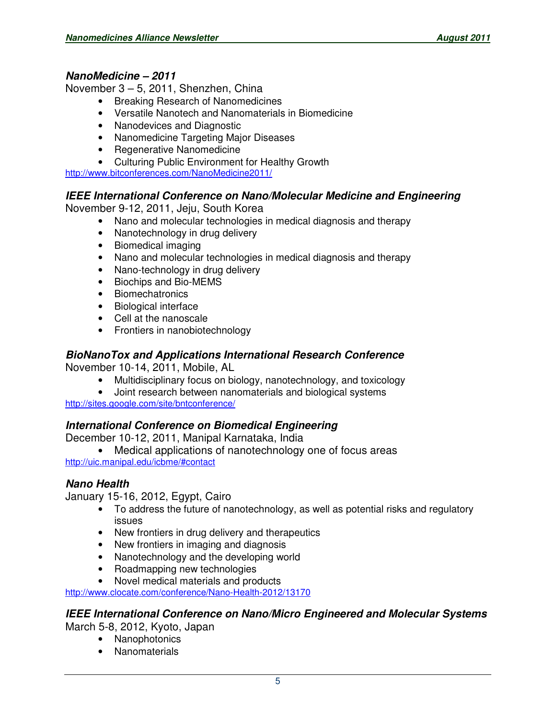#### **NanoMedicine – 2011**

November 3 – 5, 2011, Shenzhen, China

- Breaking Research of Nanomedicines
- Versatile Nanotech and Nanomaterials in Biomedicine
- Nanodevices and Diagnostic
- Nanomedicine Targeting Major Diseases
- Regenerative Nanomedicine
- Culturing Public Environment for Healthy Growth

http://www.bitconferences.com/NanoMedicine2011/

#### **IEEE International Conference on Nano/Molecular Medicine and Engineering**

November 9-12, 2011, Jeju, South Korea

- Nano and molecular technologies in medical diagnosis and therapy
- Nanotechnology in drug delivery
- Biomedical imaging
- Nano and molecular technologies in medical diagnosis and therapy
- Nano-technology in drug delivery
- Biochips and Bio-MEMS
- Biomechatronics
- Biological interface
- Cell at the nanoscale
- Frontiers in nanobiotechnology

### **BioNanoTox and Applications International Research Conference**

November 10-14, 2011, Mobile, AL

- Multidisciplinary focus on biology, nanotechnology, and toxicology
- Joint research between nanomaterials and biological systems

http://sites.google.com/site/bntconference/

### **International Conference on Biomedical Engineering**

December 10-12, 2011, Manipal Karnataka, India

• Medical applications of nanotechnology one of focus areas

http://uic.manipal.edu/icbme/#contact

### **Nano Health**

January 15-16, 2012, Egypt, Cairo

- To address the future of nanotechnology, as well as potential risks and regulatory issues
- New frontiers in drug delivery and therapeutics
- New frontiers in imaging and diagnosis
- Nanotechnology and the developing world
- Roadmapping new technologies
- Novel medical materials and products

http://www.clocate.com/conference/Nano-Health-2012/13170

### **IEEE International Conference on Nano/Micro Engineered and Molecular Systems**

March 5-8, 2012, Kyoto, Japan

- Nanophotonics
- Nanomaterials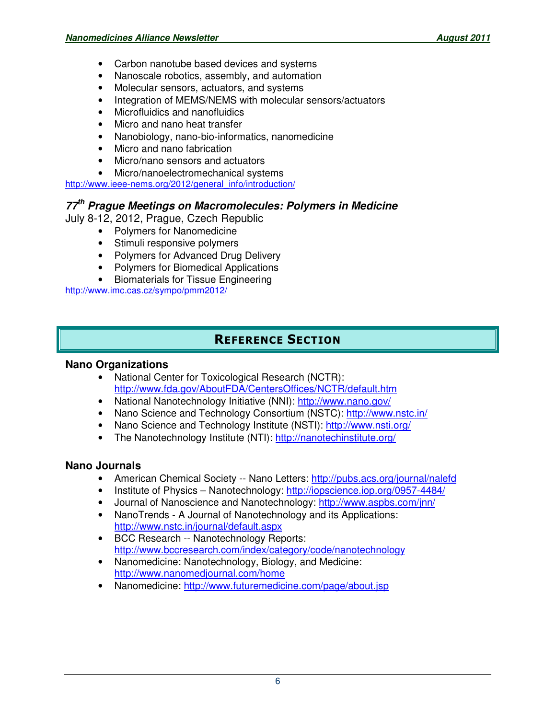- Carbon nanotube based devices and systems
- Nanoscale robotics, assembly, and automation
- Molecular sensors, actuators, and systems
- Integration of MEMS/NEMS with molecular sensors/actuators
- Microfluidics and nanofluidics
- Micro and nano heat transfer
- Nanobiology, nano-bio-informatics, nanomedicine
- Micro and nano fabrication
- Micro/nano sensors and actuators
- Micro/nanoelectromechanical systems

http://www.ieee-nems.org/2012/general\_info/introduction/

## **77th Prague Meetings on Macromolecules: Polymers in Medicine**

July 8-12, 2012, Prague, Czech Republic

- Polymers for Nanomedicine
- Stimuli responsive polymers
- Polymers for Advanced Drug Delivery
- Polymers for Biomedical Applications
- Biomaterials for Tissue Engineering

http://www.imc.cas.cz/sympo/pmm2012/

# REFERENCE SECTION

#### **Nano Organizations**

- National Center for Toxicological Research (NCTR): http://www.fda.gov/AboutFDA/CentersOffices/NCTR/default.htm
- National Nanotechnology Initiative (NNI): http://www.nano.gov/
- Nano Science and Technology Consortium (NSTC): http://www.nstc.in/
- Nano Science and Technology Institute (NSTI): http://www.nsti.org/
- The Nanotechnology Institute (NTI): http://nanotechinstitute.org/

#### **Nano Journals**

- American Chemical Society -- Nano Letters: http://pubs.acs.org/journal/nalefd
- Institute of Physics Nanotechnology: http://iopscience.iop.org/0957-4484/
- Journal of Nanoscience and Nanotechnology: http://www.aspbs.com/jnn/
- NanoTrends A Journal of Nanotechnology and its Applications: http://www.nstc.in/journal/default.aspx
- BCC Research -- Nanotechnology Reports: http://www.bccresearch.com/index/category/code/nanotechnology
- Nanomedicine: Nanotechnology, Biology, and Medicine: http://www.nanomedjournal.com/home
- Nanomedicine: http://www.futuremedicine.com/page/about.jsp